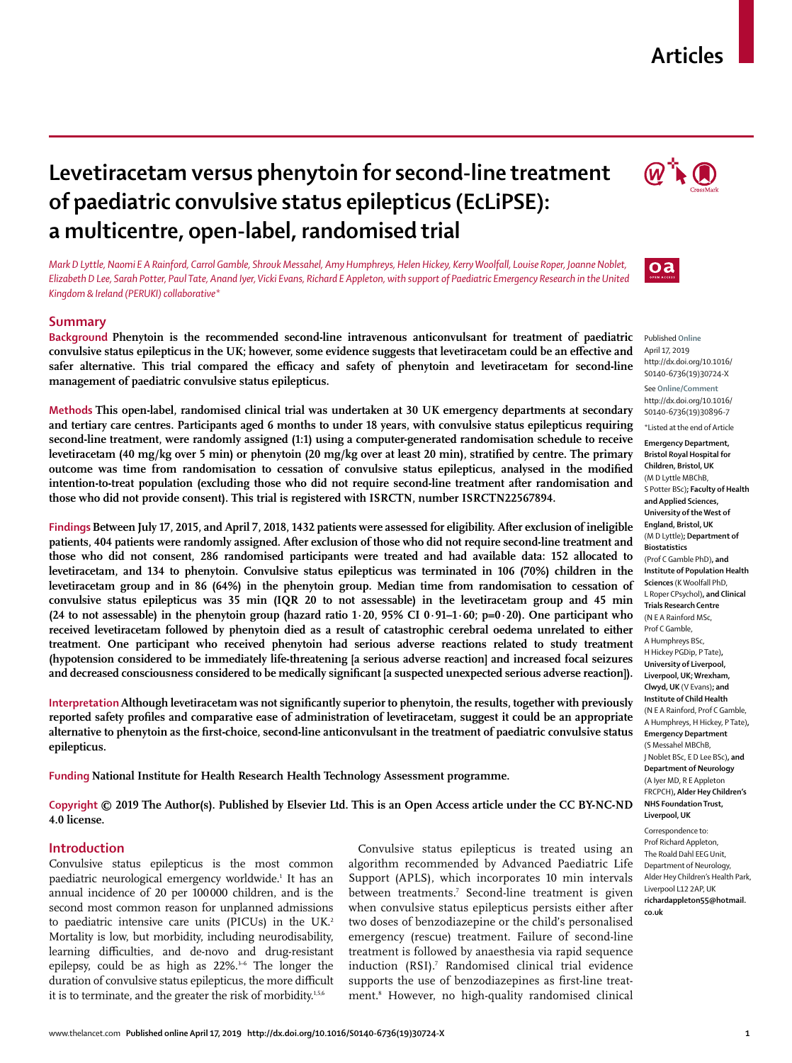# **Articles**

# **Levetiracetam versus phenytoin for second-line treatment of paediatric convulsive status epilepticus (EcLiPSE): a multicentre, open-label, randomised trial**

*Mark D Lyttle, Naomi E A Rainford, Carrol Gamble, Shrouk Messahel, Amy Humphreys, Helen Hickey, Kerry Woolfall, Louise Roper, Joanne Noblet, Elizabeth D Lee, Sarah Potter, Paul Tate, Anand Iyer, Vicki Evans, Richard E Appleton, with support of Paediatric Emergency Research in the United Kingdom & Ireland (PERUKI) collaborative\**

# **Summary**

**Background Phenytoin is the recommended second-line intravenous anticonvulsant for treatment of paediatric convulsive status epilepticus in the UK; however, some evidence suggests that levetiracetam could be an effective and safer alternative. This trial compared the efficacy and safety of phenytoin and levetiracetam for second-line management of paediatric convulsive status epilepticus.**

**Methods This open-label, randomised clinical trial was undertaken at 30 UK emergency departments at secondary and tertiary care centres. Participants aged 6 months to under 18 years, with convulsive status epilepticus requiring second-line treatment, were randomly assigned (1:1) using a computer-generated randomisation schedule to receive levetiracetam (40 mg/kg over 5 min) or phenytoin (20 mg/kg over at least 20 min), stratified by centre. The primary outcome was time from randomisation to cessation of convulsive status epilepticus, analysed in the modified intention-to-treat population (excluding those who did not require second-line treatment after randomisation and those who did not provide consent). This trial is registered with ISRCTN, number ISRCTN22567894.**

**Findings Between July 17, 2015, and April 7, 2018, 1432 patients were assessed for eligibility. After exclusion of ineligible patients, 404 patients were randomly assigned. After exclusion of those who did not require second-line treatment and those who did not consent, 286 randomised participants were treated and had available data: 152 allocated to levetiracetam, and 134 to phenytoin. Convulsive status epilepticus was terminated in 106 (70%) children in the levetiracetam group and in 86 (64%) in the phenytoin group. Median time from randomisation to cessation of convulsive status epilepticus was 35 min (IQR 20 to not assessable) in the levetiracetam group and 45 min (24 to not assessable) in the phenytoin group (hazard ratio 1·20, 95% CI 0·91–1·60; p=0·20). One participant who received levetiracetam followed by phenytoin died as a result of catastrophic cerebral oedema unrelated to either treatment. One participant who received phenytoin had serious adverse reactions related to study treatment (hypotension considered to be immediately life-threatening [a serious adverse reaction] and increased focal seizures and decreased consciousness considered to be medically significant [a suspected unexpected serious adverse reaction]).** 

**Interpretation Although levetiracetam was not significantly superior to phenytoin, the results, together with previously reported safety profiles and comparative ease of administration of levetiracetam, suggest it could be an appropriate alternative to phenytoin as the first-choice, second-line anticonvulsant in the treatment of paediatric convulsive status epilepticus.**

**Funding National Institute for Health Research Health Technology Assessment programme.**

# **Copyright © 2019 The Author(s). Published by Elsevier Ltd. This is an Open Access article under the CC BY-NC-ND 4.0 license.**

# **Introduction**

Convulsive status epilepticus is the most common paediatric neurological emergency worldwide.<sup>1</sup> It has an annual incidence of 20 per 100000 children, and is the second most common reason for unplanned admissions to paediatric intensive care units (PICUs) in the UK.<sup>2</sup> Mortality is low, but morbidity, including neurodisability, learning difficulties, and de-novo and drug-resistant epilepsy, could be as high as  $22\%$ .<sup>3-6</sup> The longer the duration of convulsive status epilepticus, the more difficult it is to terminate, and the greater the risk of morbidity.<sup>1,5,6</sup>

Convulsive status epilepticus is treated using an algorithm recommended by Advanced Paediatric Life Support (APLS), which incorporates 10 min intervals between treatments.<sup>7</sup> Second-line treatment is given when convulsive status epilepticus persists either after two doses of benzodiazepine or the child's personalised emergency (rescue) treatment. Failure of second-line treatment is followed by anaesthesia via rapid sequence induction (RSI).<sup>7</sup> Randomised clinical trial evidence supports the use of benzodiazepines as first-line treatment.8 However, no high-quality randomised clinical





Published **Online** April 17, 2019 http://dx.doi.org/10.1016/ S0140-6736(19)30724-X

See **Online/Comment** http://dx.doi.org/10.1016/ S0140-6736(19)30896-7

\*Listed at the end of Article

**Emergency Department, Bristol Royal Hospital for Children, Bristol, UK** (M D Lyttle MBChB, S Potter BSc)**; Faculty of Health and Applied Sciences, University of the West of England, Bristol, UK** (M D Lyttle)**; Department of Biostatistics**  (Prof C Gamble PhD)**, and Institute of Population Health Sciences** (K Woolfall PhD, L Roper CPsychol)**, and Clinical Trials Research Centre**  (N E A Rainford MSc, Prof C Gamble, A Humphreys BSc, H Hickey PGDip, P Tate)**, University of Liverpool, Liverpool, UK; Wrexham, Clwyd, UK** (V Evans)**; and Institute of Child Health**  (N E A Rainford, Prof C Gamble, A Humphreys, H Hickey, P Tate)**, Emergency Department**  (S Messahel MBChB, J Noblet BSc, E D Lee BSc)**, and Department of Neurology**  (A Iyer MD, R E Appleton FRCPCH)**, Alder Hey Children's NHS Foundation Trust, Liverpool, UK**

Correspondence to: Prof Richard Appleton, The Roald Dahl EEG Unit, Department of Neurology, Alder Hey Children's Health Park, Liverpool L12 2AP, UK **richardappleton55@hotmail. co.uk**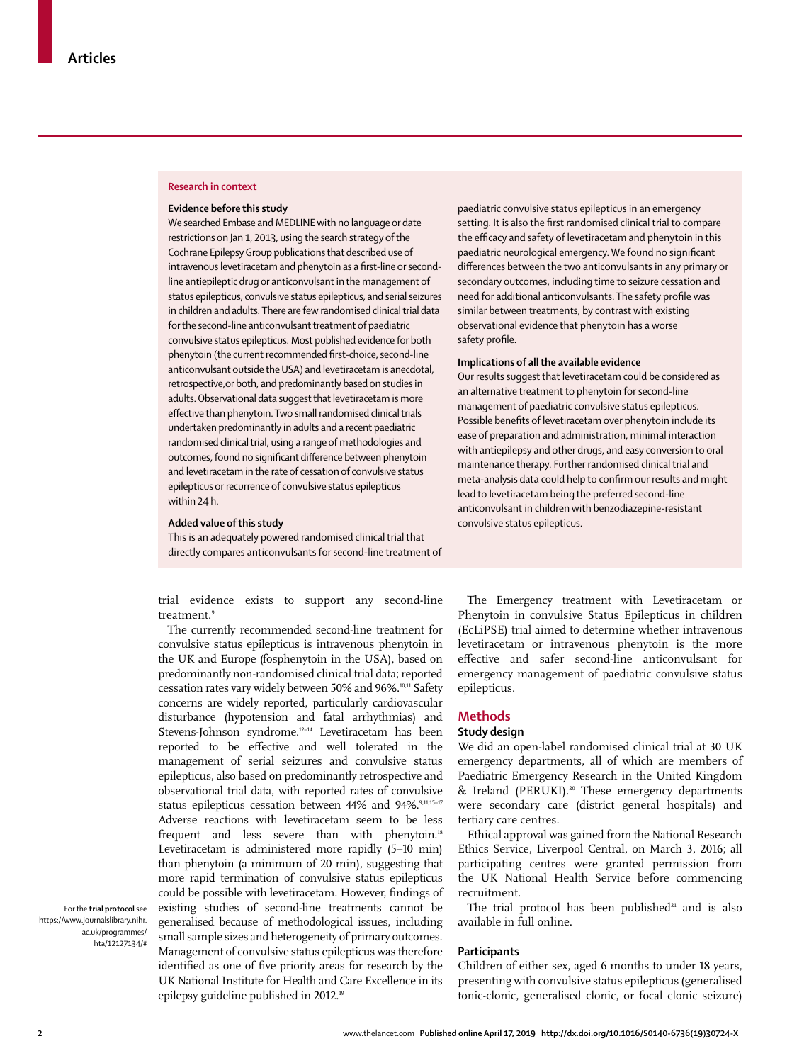## **Research in context**

## **Evidence before this study**

We searched Embase and MEDLINE with no language or date restrictions on Jan 1, 2013, using the search strategy of the Cochrane Epilepsy Group publications that described use of intravenous levetiracetam and phenytoin as a first-line or secondline antiepileptic drug or anticonvulsant in the management of status epilepticus, convulsive status epilepticus, and serial seizures in children and adults. There are few randomised clinical trial data for the second-line anticonvulsant treatment of paediatric convulsive status epilepticus. Most published evidence for both phenytoin (the current recommended first-choice, second-line anticonvulsant outside the USA) and levetiracetam is anecdotal, retrospective,or both, and predominantly based on studies in adults. Observational data suggest that levetiracetam is more effective than phenytoin. Two small randomised clinical trials undertaken predominantly in adults and a recent paediatric randomised clinical trial, using a range of methodologies and outcomes, found no significant difference between phenytoin and levetiracetam in the rate of cessation of convulsive status epilepticus or recurrence of convulsive status epilepticus within 24 h.

## **Added value of this study**

This is an adequately powered randomised clinical trial that directly compares anticonvulsants for second-line treatment of

trial evidence exists to support any second-line treatment.9

The currently recommended second-line treatment for convulsive status epilepticus is intravenous phenytoin in the UK and Europe (fosphenytoin in the USA), based on predominantly non-randomised clinical trial data; reported cessation rates vary widely between 50% and 96%.10,11 Safety concerns are widely reported, particularly cardiovascular disturbance (hypotension and fatal arrhythmias) and Stevens-Johnson syndrome.<sup>12-14</sup> Levetiracetam has been reported to be effective and well tolerated in the management of serial seizures and convulsive status epilepticus, also based on predominantly retrospective and observational trial data, with reported rates of convulsive status epilepticus cessation between 44% and 94%.9,11,15-17 Adverse reactions with levetiracetam seem to be less frequent and less severe than with phenytoin.<sup>18</sup> Levetiracetam is administered more rapidly (5–10 min) than phenytoin (a minimum of 20 min), suggesting that more rapid termination of convulsive status epilepticus could be possible with levetiracetam. However, findings of existing studies of second-line treatments cannot be generalised because of methodological issues, including small sample sizes and heterogeneity of primary outcomes. Management of convulsive status epilepticus was therefore identified as one of five priority areas for research by the UK National Institute for Health and Care Excellence in its epilepsy guideline published in 2012.19

For the **trial protocol** see [https://www.journalslibrary.nihr.](https://www.journalslibrary.nihr.ac.uk/programmes/hta/12127134/#) [ac.uk/programmes/](https://www.journalslibrary.nihr.ac.uk/programmes/hta/12127134/#) [hta/12127134/#](https://www.journalslibrary.nihr.ac.uk/programmes/hta/12127134/#) paediatric convulsive status epilepticus in an emergency setting. It is also the first randomised clinical trial to compare the efficacy and safety of levetiracetam and phenytoin in this paediatric neurological emergency. We found no significant differences between the two anticonvulsants in any primary or secondary outcomes, including time to seizure cessation and need for additional anticonvulsants. The safety profile was similar between treatments, by contrast with existing observational evidence that phenytoin has a worse safety profile.

# **Implications of all the available evidence**

Our results suggest that levetiracetam could be considered as an alternative treatment to phenytoin for second-line management of paediatric convulsive status epilepticus. Possible benefits of levetiracetam over phenytoin include its ease of preparation and administration, minimal interaction with antiepilepsy and other drugs, and easy conversion to oral maintenance therapy. Further randomised clinical trial and meta-analysis data could help to confirm our results and might lead to levetiracetam being the preferred second-line anticonvulsant in children with benzodiazepine-resistant convulsive status epilepticus.

The Emergency treatment with Levetiracetam or Phenytoin in convulsive Status Epilepticus in children (EcLiPSE) trial aimed to determine whether intravenous levetiracetam or intravenous phenytoin is the more effective and safer second-line anticonvulsant for emergency management of paediatric convulsive status epilepticus.

# **Methods**

## **Study design**

We did an open-label randomised clinical trial at 30 UK emergency departments, all of which are members of Paediatric Emergency Research in the United Kingdom & Ireland (PERUKI).<sup>20</sup> These emergency departments were secondary care (district general hospitals) and tertiary care centres.

Ethical approval was gained from the National Research Ethics Service, Liverpool Central, on March 3, 2016; all participating centres were granted permission from the UK National Health Service before commencing recruitment.

The [trial protocol](https://www.journalslibrary.nihr.ac.uk/programmes/hta/12127134/#) has been published $21$  and is also available in full online.

## **Participants**

Children of either sex, aged 6 months to under 18 years, presenting with convulsive status epilepticus (generalised tonic-clonic, generalised clonic, or focal clonic seizure)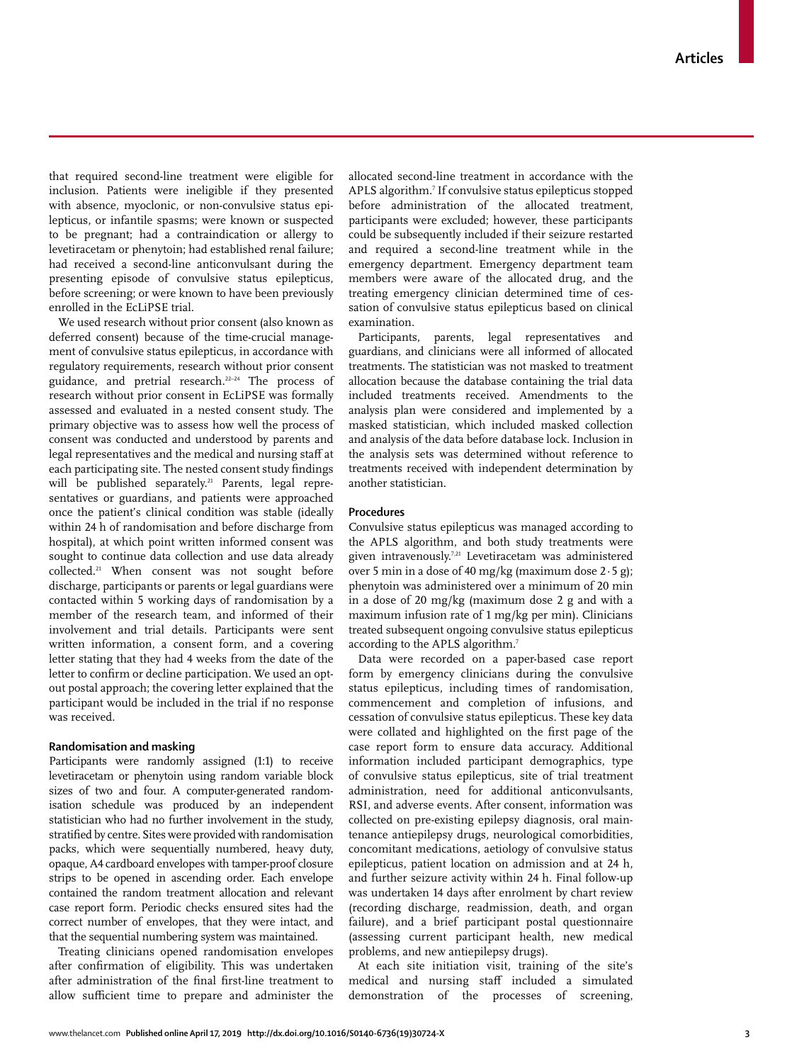that required second-line treatment were eligible for inclusion. Patients were ineligible if they presented with absence, myoclonic, or non-convulsive status epilepticus, or infantile spasms; were known or suspected to be pregnant; had a contraindication or allergy to levetiracetam or phenytoin; had established renal failure; had received a second-line anticonvulsant during the presenting episode of convulsive status epilepticus, before screening; or were known to have been previously enrolled in the EcLiPSE trial.

We used research without prior consent (also known as deferred consent) because of the time-crucial management of convulsive status epilepticus, in accordance with regulatory requirements, research without prior consent guidance, and pretrial research.22–24 The process of research without prior consent in EcLiPSE was formally assessed and evaluated in a nested consent study. The primary objective was to assess how well the process of consent was conducted and understood by parents and legal representatives and the medical and nursing staff at each participating site. The nested consent study findings will be published separately.<sup>21</sup> Parents, legal representatives or guardians, and patients were approached once the patient's clinical condition was stable (ideally within 24 h of randomisation and before discharge from hospital), at which point written informed consent was sought to continue data collection and use data already collected.21 When consent was not sought before discharge, participants or parents or legal guardians were contacted within 5 working days of randomisation by a member of the research team, and informed of their involvement and trial details. Participants were sent written information, a consent form, and a covering letter stating that they had 4 weeks from the date of the letter to confirm or decline participation. We used an optout postal approach; the covering letter explained that the participant would be included in the trial if no response was received.

# **Randomisation and masking**

Participants were randomly assigned (1:1) to receive levetiracetam or phenytoin using random variable block sizes of two and four. A computer-generated randomisation schedule was produced by an independent statistician who had no further involvement in the study, stratified by centre. Sites were provided with randomisation packs, which were sequentially numbered, heavy duty, opaque, A4 cardboard envelopes with tamper-proof closure strips to be opened in ascending order. Each envelope contained the random treatment allocation and relevant case report form. Periodic checks ensured sites had the correct number of envelopes, that they were intact, and that the sequential numbering system was maintained.

Treating clinicians opened randomisation envelopes after confirmation of eligibility. This was undertaken after administration of the final first-line treatment to allow sufficient time to prepare and administer the allocated second-line treatment in accordance with the APLS algorithm.7 If convulsive status epilepticus stopped before administration of the allocated treatment, participants were excluded; however, these participants could be subsequently included if their seizure restarted and required a second-line treatment while in the emergency department. Emergency department team members were aware of the allocated drug, and the treating emergency clinician determined time of cessation of convulsive status epilepticus based on clinical examination.

Participants, parents, legal representatives and guardians, and clinicians were all informed of allocated treatments. The statistician was not masked to treatment allocation because the database containing the trial data included treatments received. Amendments to the analysis plan were considered and implemented by a masked statistician, which included masked collection and analysis of the data before database lock. Inclusion in the analysis sets was determined without reference to treatments received with independent determination by another statistician.

## **Procedures**

Convulsive status epilepticus was managed according to the APLS algorithm, and both study treatments were given intravenously.7,21 Levetiracetam was administered over 5 min in a dose of 40 mg/kg (maximum dose 2·5 g); phenytoin was administered over a minimum of 20 min in a dose of 20 mg/kg (maximum dose 2 g and with a maximum infusion rate of 1 mg/kg per min). Clinicians treated subsequent ongoing convulsive status epilepticus according to the APLS algorithm.7

Data were recorded on a paper-based case report form by emergency clinicians during the convulsive status epilepticus, including times of randomisation, commencement and completion of infusions, and cessation of convulsive status epilepticus. These key data were collated and highlighted on the first page of the case report form to ensure data accuracy. Additional information included participant demographics, type of convulsive status epilepticus, site of trial treatment administration, need for additional anticonvulsants, RSI, and adverse events. After consent, information was collected on pre-existing epilepsy diagnosis, oral maintenance antiepilepsy drugs, neurological comorbidities, concomitant medications, aetiology of convulsive status epilepticus, patient location on admission and at 24 h, and further seizure activity within 24 h. Final follow-up was undertaken 14 days after enrolment by chart review (recording discharge, readmission, death, and organ failure), and a brief participant postal questionnaire (assessing current participant health, new medical problems, and new antiepilepsy drugs).

At each site initiation visit, training of the site's medical and nursing staff included a simulated demonstration of the processes of screening,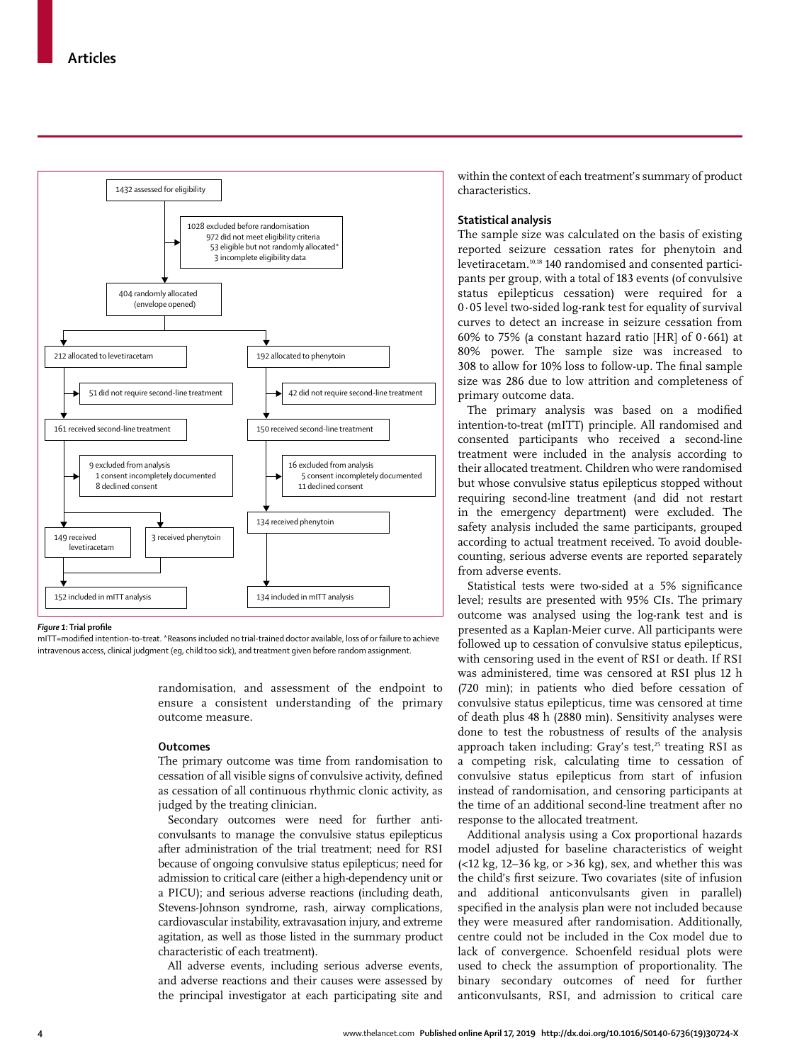

#### *Figure 1:* **Trial profile**

mITT=modified intention-to-treat. \*Reasons included no trial-trained doctor available, loss of or failure to achieve intravenous access, clinical judgment (eg, child too sick), and treatment given before random assignment.

> randomisation, and assessment of the endpoint to ensure a consistent understanding of the primary outcome measure.

## **Outcomes**

The primary outcome was time from randomisation to cessation of all visible signs of convulsive activity, defined as cessation of all continuous rhythmic clonic activity, as judged by the treating clinician.

Secondary outcomes were need for further anticonvulsants to manage the convulsive status epilepticus after administration of the trial treatment; need for RSI because of ongoing convulsive status epilepticus; need for admission to critical care (either a high-dependency unit or a PICU); and serious adverse reactions (including death, Stevens-Johnson syndrome, rash, airway complications, cardiovascular instability, extravasation injury, and extreme agitation, as well as those listed in the summary product characteristic of each treatment).

All adverse events, including serious adverse events, and adverse reactions and their causes were assessed by the principal investigator at each participating site and within the context of each treatment's summary of product characteristics.

# **Statistical analysis**

The sample size was calculated on the basis of existing reported seizure cessation rates for phenytoin and levetiracetam.10,18 140 randomised and consented participants per group, with a total of 183 events (of convulsive status epilepticus cessation) were required for a 0·05 level two-sided log-rank test for equality of survival curves to detect an increase in seizure cessation from 60% to 75% (a constant hazard ratio [HR] of  $0.661$ ] at 80% power. The sample size was increased to 308 to allow for 10% loss to follow-up. The final sample size was 286 due to low attrition and completeness of primary outcome data.

The primary analysis was based on a modified intention-to-treat (mITT) principle. All randomised and consented participants who received a second-line treatment were included in the analysis according to their allocated treatment. Children who were randomised but whose convulsive status epilepticus stopped without requiring second-line treatment (and did not restart in the emergency department) were excluded. The safety analysis included the same participants, grouped according to actual treatment received. To avoid doublecounting, serious adverse events are reported separately from adverse events.

Statistical tests were two-sided at a 5% significance level; results are presented with 95% CIs. The primary outcome was analysed using the log-rank test and is presented as a Kaplan-Meier curve. All participants were followed up to cessation of convulsive status epilepticus, with censoring used in the event of RSI or death. If RSI was administered, time was censored at RSI plus 12 h (720 min); in patients who died before cessation of convulsive status epilepticus, time was censored at time of death plus 48 h (2880 min). Sensitivity analyses were done to test the robustness of results of the analysis approach taken including: Gray's test,<sup>25</sup> treating RSI as a competing risk, calculating time to cessation of convulsive status epilepticus from start of infusion instead of randomisation, and censoring participants at the time of an additional second-line treatment after no response to the allocated treatment.

Additional analysis using a Cox proportional hazards model adjusted for baseline characteristics of weight  $(-12 \text{ kg}, 12-36 \text{ kg}, \text{ or } >36 \text{ kg})$ , sex, and whether this was the child's first seizure. Two covariates (site of infusion and additional anticonvulsants given in parallel) specified in the analysis plan were not included because they were measured after randomisation. Additionally, centre could not be included in the Cox model due to lack of convergence. Schoenfeld residual plots were used to check the assumption of proportionality. The binary secondary outcomes of need for further anticonvulsants, RSI, and admission to critical care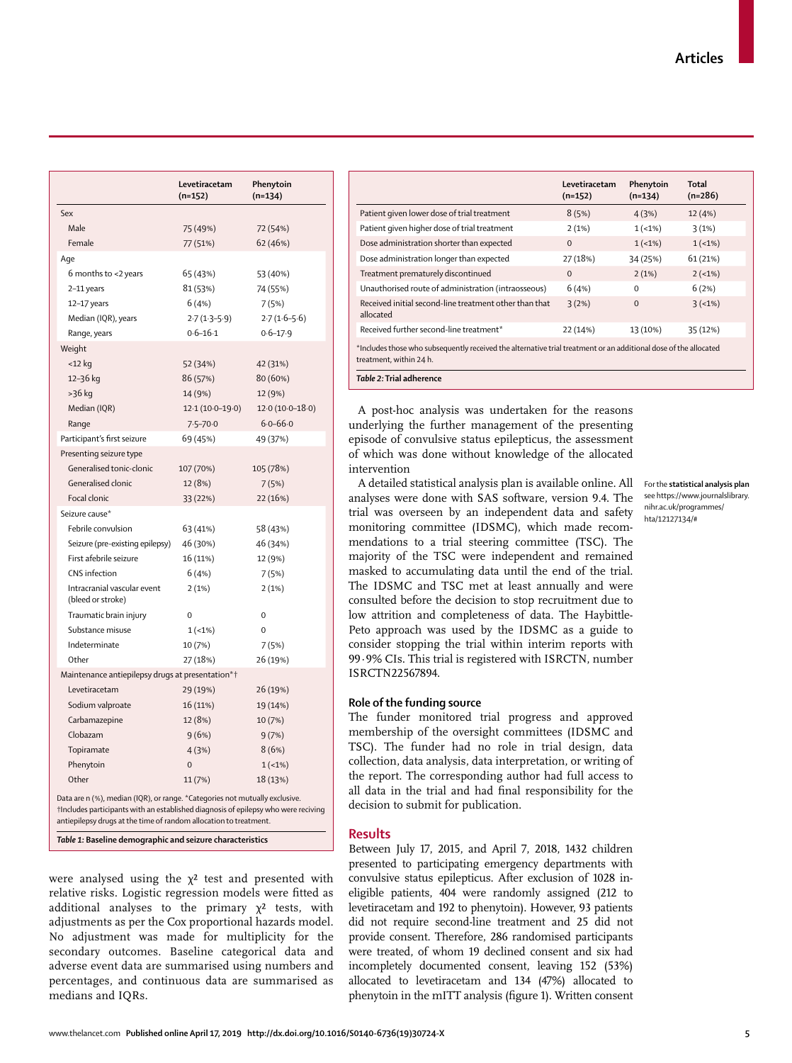|                                                                                                                                                                                                                                        | Levetiracetam<br>$(n=152)$ | Phenytoin<br>$(n=134)$ |  |  |  |
|----------------------------------------------------------------------------------------------------------------------------------------------------------------------------------------------------------------------------------------|----------------------------|------------------------|--|--|--|
| Sex                                                                                                                                                                                                                                    |                            |                        |  |  |  |
| Male                                                                                                                                                                                                                                   | 75 (49%)                   | 72 (54%)               |  |  |  |
| Female                                                                                                                                                                                                                                 | 77 (51%)                   | 62 (46%)               |  |  |  |
| Age                                                                                                                                                                                                                                    |                            |                        |  |  |  |
| 6 months to <2 years                                                                                                                                                                                                                   | 65 (43%)                   | 53 (40%)               |  |  |  |
| 2-11 years                                                                                                                                                                                                                             | 81 (53%)                   | 74 (55%)               |  |  |  |
| 12-17 years                                                                                                                                                                                                                            | 6(4%)                      | 7(5%)                  |  |  |  |
| Median (IQR), years                                                                                                                                                                                                                    | $2.7(1.3-5.9)$             | $2.7(1.6-5.6)$         |  |  |  |
| Range, years                                                                                                                                                                                                                           | $0.6 - 16.1$               | $0.6 - 17.9$           |  |  |  |
| Weight                                                                                                                                                                                                                                 |                            |                        |  |  |  |
| $<$ 12 $kg$                                                                                                                                                                                                                            | 52 (34%)                   | 42 (31%)               |  |  |  |
| 12-36 kg                                                                                                                                                                                                                               | 86 (57%)                   | 80 (60%)               |  |  |  |
| $>36$ kg                                                                                                                                                                                                                               | 14 (9%)                    | 12 (9%)                |  |  |  |
| Median (IQR)                                                                                                                                                                                                                           | $12.1(10.0-19.0)$          | $12.0(10.0-18.0)$      |  |  |  |
| Range                                                                                                                                                                                                                                  | $7.5 - 70.0$               | $6.0 - 66.0$           |  |  |  |
| Participant's first seizure                                                                                                                                                                                                            | 69 (45%)                   | 49 (37%)               |  |  |  |
| Presenting seizure type                                                                                                                                                                                                                |                            |                        |  |  |  |
| Generalised tonic-clonic                                                                                                                                                                                                               | 107 (70%)                  | 105 (78%)              |  |  |  |
| Generalised clonic                                                                                                                                                                                                                     | 12 (8%)                    | 7(5%)                  |  |  |  |
| Focal clonic                                                                                                                                                                                                                           | 33 (22%)                   | 22 (16%)               |  |  |  |
| Seizure cause*                                                                                                                                                                                                                         |                            |                        |  |  |  |
| Febrile convulsion                                                                                                                                                                                                                     | 63 (41%)                   | 58 (43%)               |  |  |  |
| Seizure (pre-existing epilepsy)                                                                                                                                                                                                        | 46 (30%)                   | 46 (34%)               |  |  |  |
| First afebrile seizure                                                                                                                                                                                                                 | 16 (11%)                   | 12 (9%)                |  |  |  |
| <b>CNS</b> infection                                                                                                                                                                                                                   | 6(4%)                      | 7(5%)                  |  |  |  |
| Intracranial vascular event<br>(bleed or stroke)                                                                                                                                                                                       | 2(1%)                      | 2(1%)                  |  |  |  |
| Traumatic brain injury                                                                                                                                                                                                                 | $\mathbf 0$                | 0                      |  |  |  |
| Substance misuse                                                                                                                                                                                                                       | $1(-1%)$                   | 0                      |  |  |  |
| Indeterminate                                                                                                                                                                                                                          | 10 (7%)                    | 7(5%)                  |  |  |  |
| Other                                                                                                                                                                                                                                  | 27 (18%)                   | 26 (19%)               |  |  |  |
| Maintenance antiepilepsy drugs at presentation*+                                                                                                                                                                                       |                            |                        |  |  |  |
| Levetiracetam                                                                                                                                                                                                                          | 29 (19%)                   | 26 (19%)               |  |  |  |
| Sodium valproate                                                                                                                                                                                                                       | 16 (11%)                   | 19 (14%)               |  |  |  |
| Carbamazepine                                                                                                                                                                                                                          | 12 (8%)                    | 10 (7%)                |  |  |  |
| Clobazam                                                                                                                                                                                                                               | 9(6%)                      | 9(7%)                  |  |  |  |
| Topiramate                                                                                                                                                                                                                             | 4(3%)                      | 8(6%)                  |  |  |  |
| Phenytoin                                                                                                                                                                                                                              | $\overline{0}$             | $1(-1%)$               |  |  |  |
| Other                                                                                                                                                                                                                                  | 11 (7%)                    | 18 (13%)               |  |  |  |
| Data are n (%), median (IQR), or range. *Categories not mutually exclusive.<br>†Includes participants with an established diagnosis of epilepsy who were reciving<br>antiepilepsy drugs at the time of random allocation to treatment. |                            |                        |  |  |  |

*Table 1:* **Baseline demographic and seizure characteristics**

were analysed using the  $\chi^2$  test and presented with relative risks. Logistic regression models were fitted as additional analyses to the primary  $\chi^2$  tests, with adjustments as per the Cox proportional hazards model. No adjustment was made for multiplicity for the secondary outcomes. Baseline categorical data and adverse event data are summarised using numbers and percentages, and continuous data are summarised as medians and IQRs.

|                                                                                                                                             | Levetiracetam<br>$(n=152)$ | Phenytoin<br>$(n=134)$ | Total<br>$(n=286)$ |  |  |
|---------------------------------------------------------------------------------------------------------------------------------------------|----------------------------|------------------------|--------------------|--|--|
| Patient given lower dose of trial treatment                                                                                                 | 8(5%)                      | 4(3%)                  | 12(4%)             |  |  |
| Patient given higher dose of trial treatment                                                                                                | 2(1%)                      | $1(-1%)$               | 3(1%)              |  |  |
| Dose administration shorter than expected                                                                                                   | $\mathbf{0}$               | $1(-1%)$               | $1(-1%)$           |  |  |
| Dose administration longer than expected                                                                                                    | 27 (18%)                   | 34 (25%)               | 61(21%)            |  |  |
| Treatment prematurely discontinued                                                                                                          | $\Omega$                   | 2(1%)                  | $2(-1%)$           |  |  |
| Unauthorised route of administration (intraosseous)                                                                                         | 6(4%)                      | $\Omega$               | 6(2%)              |  |  |
| Received initial second-line treatment other than that<br>allocated                                                                         | 3(2%)                      | $\Omega$               | $3 (-1%)$          |  |  |
| Received further second-line treatment*                                                                                                     | 22 (14%)                   | 13 (10%)               | 35 (12%)           |  |  |
| *Includes those who subsequently received the alternative trial treatment or an additional dose of the allocated<br>treatment, within 24 h. |                            |                        |                    |  |  |
| Table 2: Trial adherence                                                                                                                    |                            |                        |                    |  |  |

A post-hoc analysis was undertaken for the reasons underlying the further management of the presenting episode of convulsive status epilepticus, the assessment of which was done without knowledge of the allocated intervention

A detailed [statistical analysis plan](https://www.journalslibrary.nihr.ac.uk/programmes/hta/12127134/#) is available online. All analyses were done with SAS software, version 9.4. The trial was overseen by an independent data and safety monitoring committee (IDSMC), which made recommendations to a trial steering committee (TSC). The majority of the TSC were independent and remained masked to accumulating data until the end of the trial. The IDSMC and TSC met at least annually and were consulted before the decision to stop recruitment due to low attrition and completeness of data. The Haybittle-Peto approach was used by the IDSMC as a guide to consider stopping the trial within interim reports with 99·9% CIs. This trial is registered with ISRCTN, number ISRCTN22567894.

# **Role of the funding source**

The funder monitored trial progress and approved membership of the oversight committees (IDSMC and TSC). The funder had no role in trial design, data collection, data analysis, data interpretation, or writing of the report. The corresponding author had full access to all data in the trial and had final responsibility for the decision to submit for publication.

# **Results**

Between July 17, 2015, and April 7, 2018, 1432 children presented to participating emergency departments with convulsive status epilepticus. After exclusion of 1028 ineligible patients, 404 were randomly assigned (212 to levetiracetam and 192 to phenytoin). However, 93 patients did not require second-line treatment and 25 did not provide consent. Therefore, 286 randomised participants were treated, of whom 19 declined consent and six had incompletely documented consent, leaving 152 (53%) allocated to levetiracetam and 134 (47%) allocated to phenytoin in the mITT analysis (figure 1). Written consent

For the **statistical analysis plan**  see [https://www.journalslibrary.](https://www.journalslibrary.nihr.ac.uk/programmes/hta/12127134/#) [nihr.ac.uk/programmes/](https://www.journalslibrary.nihr.ac.uk/programmes/hta/12127134/#) [hta/12127134/#](https://www.journalslibrary.nihr.ac.uk/programmes/hta/12127134/#)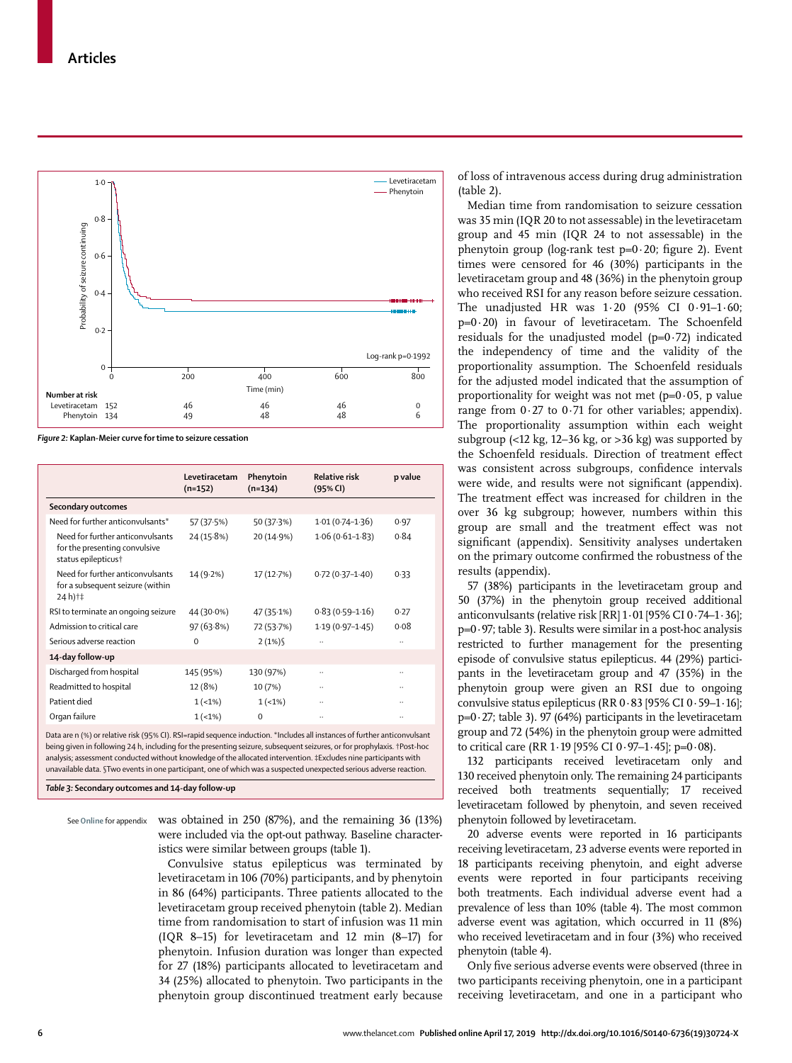

*Figure 2:* **Kaplan-Meier curve for time to seizure cessation**

|                                                                                          | Levetiracetam<br>$(n=152)$ | Phenytoin<br>$(n=134)$ | <b>Relative risk</b><br>(95% CI) | p value   |
|------------------------------------------------------------------------------------------|----------------------------|------------------------|----------------------------------|-----------|
| <b>Secondary outcomes</b>                                                                |                            |                        |                                  |           |
| Need for further anticonvulsants*                                                        | 57 (37.5%)                 | 50 (37.3%)             | $1.01(0.74 - 1.36)$              | 0.97      |
| Need for further anticonvulsants<br>for the presenting convulsive<br>status epilepticus† | 24 (15.8%)                 | 20 (14.9%)             | $1.06(0.61 - 1.83)$              | 0.84      |
| Need for further anticonvulsants<br>for a subsequent seizure (within<br>24 h)†‡          | 14 (9.2%)                  | 17(12.7%)              | $0.72(0.37 - 1.40)$              | 0.33      |
| RSI to terminate an ongoing seizure                                                      | 44 (30.0%)                 | 47 (35.1%)             | $0.83(0.59 - 1.16)$              | 0.27      |
| Admission to critical care                                                               | 97(63.8%)                  | 72 (53.7%)             | $1.19(0.97 - 1.45)$              | 0.08      |
| Serious adverse reaction                                                                 | $\Omega$                   | 2(1%)                  |                                  |           |
| 14-day follow-up                                                                         |                            |                        |                                  |           |
| Discharged from hospital                                                                 | 145 (95%)                  | 130 (97%)              |                                  |           |
| Readmitted to hospital                                                                   | 12 (8%)                    | 10(7%)                 |                                  | $\ddotsc$ |
| Patient died                                                                             | $1(-1%)$                   | $1(-1%)$               |                                  | $\ddotsc$ |
| Organ failure                                                                            | $1(-1%)$                   | $\Omega$               |                                  |           |

Data are n (%) or relative risk (95% CI). RSI=rapid sequence induction. \*Includes all instances of further anticonvulsant being given in following 24 h, including for the presenting seizure, subsequent seizures, or for prophylaxis. †Post-hoc analysis; assessment conducted without knowledge of the allocated intervention. ‡Excludes nine participants with unavailable data. §Two events in one participant, one of which was a suspected unexpected serious adverse reaction.

## *Table 3:* **Secondary outcomes and 14-day follow-up**

See **Online** for appendix

was obtained in 250 (87%), and the remaining 36 (13%) were included via the opt-out pathway. Baseline characteristics were similar between groups (table 1).

Convulsive status epilepticus was terminated by levetiracetam in 106 (70%) participants, and by phenytoin in 86 (64%) participants. Three patients allocated to the levetiracetam group received phenytoin (table 2). Median time from randomisation to start of infusion was 11 min (IQR 8–15) for levetiracetam and 12 min (8–17) for phenytoin. Infusion duration was longer than expected for 27 (18%) participants allocated to levetiracetam and 34 (25%) allocated to phenytoin. Two participants in the phenytoin group discontinued treatment early because of loss of intravenous access during drug administration (table 2).

Median time from randomisation to seizure cessation was 35 min (IQR 20 to not assessable) in the levetiracetam group and 45 min (IQR 24 to not assessable) in the phenytoin group (log-rank test  $p=0.20$ ; figure 2). Event times were censored for 46 (30%) participants in the levetiracetam group and 48 (36%) in the phenytoin group who received RSI for any reason before seizure cessation. The unadjusted HR was 1·20 (95% CI 0·91–1·60;  $p=0.20$ ) in favour of levetiracetam. The Schoenfeld residuals for the unadjusted model  $(p=0.72)$  indicated the independency of time and the validity of the proportionality assumption. The Schoenfeld residuals for the adjusted model indicated that the assumption of proportionality for weight was not met ( $p=0.05$ , p value range from 0·27 to 0·71 for other variables; appendix). The proportionality assumption within each weight subgroup  $\left($  < 12 kg, 12–36 kg, or > 36 kg) was supported by the Schoenfeld residuals. Direction of treatment effect was consistent across subgroups, confidence intervals were wide, and results were not significant (appendix). The treatment effect was increased for children in the over 36 kg subgroup; however, numbers within this group are small and the treatment effect was not significant (appendix). Sensitivity analyses undertaken on the primary outcome confirmed the robustness of the results (appendix).

57 (38%) participants in the levetiracetam group and 50 (37%) in the phenytoin group received additional anticonvulsants (relative risk [RR] 1·01 [95% CI 0·74–1·36]; p=0·97; table 3). Results were similar in a post-hoc analysis restricted to further management for the presenting episode of convulsive status epilepticus. 44 (29%) participants in the levetiracetam group and 47 (35%) in the phenytoin group were given an RSI due to ongoing convulsive status epilepticus (RR 0·83 [95% CI 0·59–1·16];  $p=0.27$ ; table 3). 97 (64%) participants in the levetiracetam group and 72 (54%) in the phenytoin group were admitted to critical care (RR 1·19 [95% CI 0·97–1·45]; p=0·08).

132 participants received levetiracetam only and 130 received phenytoin only. The remaining 24 participants received both treatments sequentially; 17 received levetiracetam followed by phenytoin, and seven received phenytoin followed by levetiracetam.

20 adverse events were reported in 16 participants receiving levetiracetam, 23 adverse events were reported in 18 participants receiving phenytoin, and eight adverse events were reported in four participants receiving both treatments. Each individual adverse event had a prevalence of less than 10% (table 4). The most common adverse event was agitation, which occurred in 11 (8%) who received levetiracetam and in four (3%) who received phenytoin (table 4).

Only five serious adverse events were observed (three in two participants receiving phenytoin, one in a participant receiving levetiracetam, and one in a participant who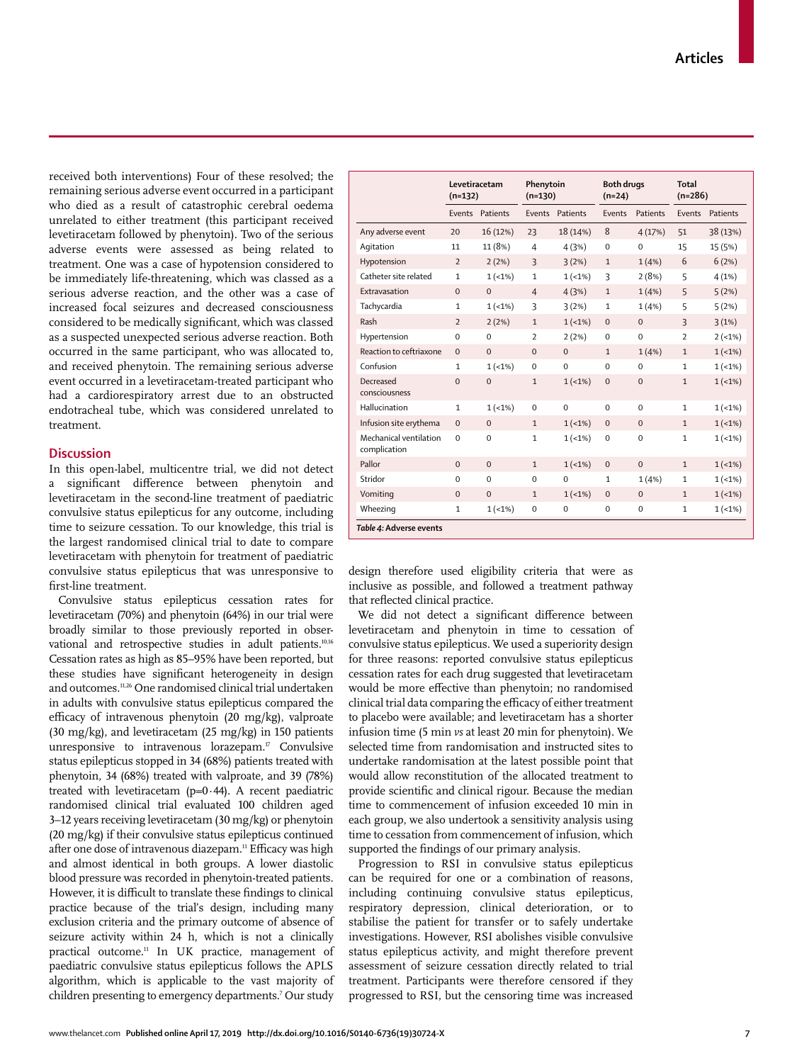received both interventions) Four of these resolved; the remaining serious adverse event occurred in a participant who died as a result of catastrophic cerebral oedema unrelated to either treatment (this participant received levetiracetam followed by phenytoin). Two of the serious adverse events were assessed as being related to treatment. One was a case of hypotension considered to be immediately life-threatening, which was classed as a serious adverse reaction, and the other was a case of increased focal seizures and decreased consciousness considered to be medically significant, which was classed as a suspected unexpected serious adverse reaction. Both occurred in the same participant, who was allocated to, and received phenytoin. The remaining serious adverse event occurred in a levetiracetam-treated participant who had a cardiorespiratory arrest due to an obstructed endotracheal tube, which was considered unrelated to treatment.

# **Discussion**

In this open-label, multicentre trial, we did not detect a significant difference between phenytoin and levetiracetam in the second-line treatment of paediatric convulsive status epilepticus for any outcome, including time to seizure cessation. To our knowledge, this trial is the largest randomised clinical trial to date to compare levetiracetam with phenytoin for treatment of paediatric convulsive status epilepticus that was unresponsive to first-line treatment.

Convulsive status epilepticus cessation rates for levetiracetam (70%) and phenytoin (64%) in our trial were broadly similar to those previously reported in observational and retrospective studies in adult patients.<sup>10,16</sup> Cessation rates as high as 85–95% have been reported, but these studies have significant heterogeneity in design and outcomes.11,26 One randomised clinical trial undertaken in adults with convulsive status epilepticus compared the efficacy of intravenous phenytoin (20 mg/kg), valproate (30 mg/kg), and levetiracetam (25 mg/kg) in 150 patients unresponsive to intravenous lorazepam.<sup>17</sup> Convulsive status epilepticus stopped in 34 (68%) patients treated with phenytoin, 34 (68%) treated with valproate, and 39 (78%) treated with levetiracetam  $(p=0.44)$ . A recent paediatric randomised clinical trial evaluated 100 children aged 3–12 years receiving levetiracetam (30 mg/kg) or phenytoin (20 mg/kg) if their convulsive status epilepticus continued after one dose of intravenous diazepam.<sup>11</sup> Efficacy was high and almost identical in both groups. A lower diastolic blood pressure was recorded in phenytoin-treated patients. However, it is difficult to translate these findings to clinical practice because of the trial's design, including many exclusion criteria and the primary outcome of absence of seizure activity within 24 h, which is not a clinically practical outcome.<sup>11</sup> In UK practice, management of paediatric convulsive status epilepticus follows the APLS algorithm, which is applicable to the vast majority of children presenting to emergency departments.7 Our study

|                                        | Levetiracetam<br>$(n=132)$ |                | Phenytoin<br>$(n=130)$ |              | <b>Both drugs</b><br>$(n=24)$ |              | Total<br>$(n=286)$ |          |
|----------------------------------------|----------------------------|----------------|------------------------|--------------|-------------------------------|--------------|--------------------|----------|
|                                        | Events                     | Patients       | Events                 | Patients     | Events                        | Patients     | Events             | Patients |
| Any adverse event                      | 20                         | 16 (12%)       | 23                     | 18 (14%)     | 8                             | 4(17%)       | 51                 | 38 (13%) |
| Agitation                              | 11                         | 11 (8%)        | $\overline{4}$         | 4(3%)        | $\mathbf 0$                   | $\mathbf 0$  | 15                 | 15 (5%)  |
| Hypotension                            | $\overline{2}$             | 2(2%)          | 3                      | 3(2%)        | $\mathbf{1}$                  | 1(4% )       | 6                  | 6(2%)    |
| Catheter site related                  | $\mathbf{1}$               | $1(-1%)$       | $\mathbf{1}$           | $1(-1%)$     | 3                             | 2(8%)        | 5                  | 4(1%)    |
| Extravasation                          | $\Omega$                   | $\overline{0}$ | $\overline{4}$         | 4(3%)        | $\mathbf{1}$                  | 1(4%)        | 5                  | 5(2%)    |
| Tachycardia                            | $\mathbf{1}$               | $1(-1%)$       | 3                      | 3(2%)        | $\mathbf{1}$                  | 1(4%         | 5                  | 5(2%)    |
| Rash                                   | $\overline{2}$             | 2(2%)          | $\mathbf{1}$           | $1(-1%)$     | $\mathbf 0$                   | $\mathbf{O}$ | 3                  | 3(1%)    |
| Hypertension                           | $\Omega$                   | $\Omega$       | $\overline{2}$         | 2(2%)        | $\mathbf 0$                   | $\mathbf 0$  | $\overline{2}$     | $2(-1%)$ |
| Reaction to ceftriaxone                | $\mathbf{0}$               | $\mathbf 0$    | $\mathbf 0$            | $\mathbf{O}$ | $\mathbf{1}$                  | 1(4% )       | $\mathbf{1}$       | $1(-1%)$ |
| Confusion                              | $\mathbf{1}$               | $1(-1%)$       | $\mathbf 0$            | $\mathbf 0$  | $\mathbf 0$                   | $\mathbf 0$  | $\mathbf{1}$       | $1(-1%)$ |
| Decreased<br>consciousness             | $\Omega$                   | $\Omega$       | $\mathbf{1}$           | $1(-1%)$     | $\mathbf{0}$                  | $\mathbf{0}$ | $\mathbf{1}$       | $1(-1%)$ |
| Hallucination                          | $\mathbf{1}$               | $1(-1%)$       | $\mathbf 0$            | $\mathbf 0$  | $\mathbf 0$                   | $\mathbf 0$  | $\mathbf{1}$       | $1(-1%)$ |
| Infusion site erythema                 | $\mathbf{0}$               | $\Omega$       | $\mathbf{1}$           | $1(-1%)$     | $\mathbf{0}$                  | $\mathbf{O}$ | $\mathbf{1}$       | $1(-1%)$ |
| Mechanical ventilation<br>complication | $\mathbf 0$                | $\mathbf 0$    | 1                      | $1(-1%)$     | $\mathbf 0$                   | $\mathbf 0$  | $\mathbf{1}$       | $1(-1%)$ |
| Pallor                                 | $\mathbf{O}$               | $\mathbf 0$    | $\mathbf{1}$           | $1(-1%)$     | $\mathbf{O}$                  | $\mathbf{O}$ | $\mathbf{1}$       | $1(-1%)$ |
| Stridor                                | $\Omega$                   | $\Omega$       | $\mathbf 0$            | 0            | $\mathbf{1}$                  | 1(4% )       | $\mathbf{1}$       | $1(-1%)$ |
| Vomiting                               | $\Omega$                   | $\overline{0}$ | $\mathbf{1}$           | $1(-1%)$     | $\mathbf{0}$                  | $\mathbf{O}$ | $\mathbf{1}$       | $1(-1%)$ |
| Wheezing                               | $\mathbf{1}$               | $1(-1%)$       | 0                      | 0            | $\mathbf 0$                   | 0            | $\mathbf{1}$       | $1(-1%)$ |
| Table 4: Adverse events                |                            |                |                        |              |                               |              |                    |          |

design therefore used eligibility criteria that were as inclusive as possible, and followed a treatment pathway that reflected clinical practice.

We did not detect a significant difference between levetiracetam and phenytoin in time to cessation of convulsive status epilepticus. We used a superiority design for three reasons: reported convulsive status epilepticus cessation rates for each drug suggested that levetiracetam would be more effective than phenytoin; no randomised clinical trial data comparing the efficacy of either treatment to placebo were available; and levetiracetam has a shorter infusion time (5 min *vs* at least 20 min for phenytoin). We selected time from randomisation and instructed sites to undertake randomisation at the latest possible point that would allow reconstitution of the allocated treatment to provide scientific and clinical rigour. Because the median time to commencement of infusion exceeded 10 min in each group, we also undertook a sensitivity analysis using time to cessation from commencement of infusion, which supported the findings of our primary analysis.

Progression to RSI in convulsive status epilepticus can be required for one or a combination of reasons, including continuing convulsive status epilepticus, respiratory depression, clinical deterioration, or to stabilise the patient for transfer or to safely undertake investigations. However, RSI abolishes visible convulsive status epilepticus activity, and might therefore prevent assessment of seizure cessation directly related to trial treatment. Participants were therefore censored if they progressed to RSI, but the censoring time was increased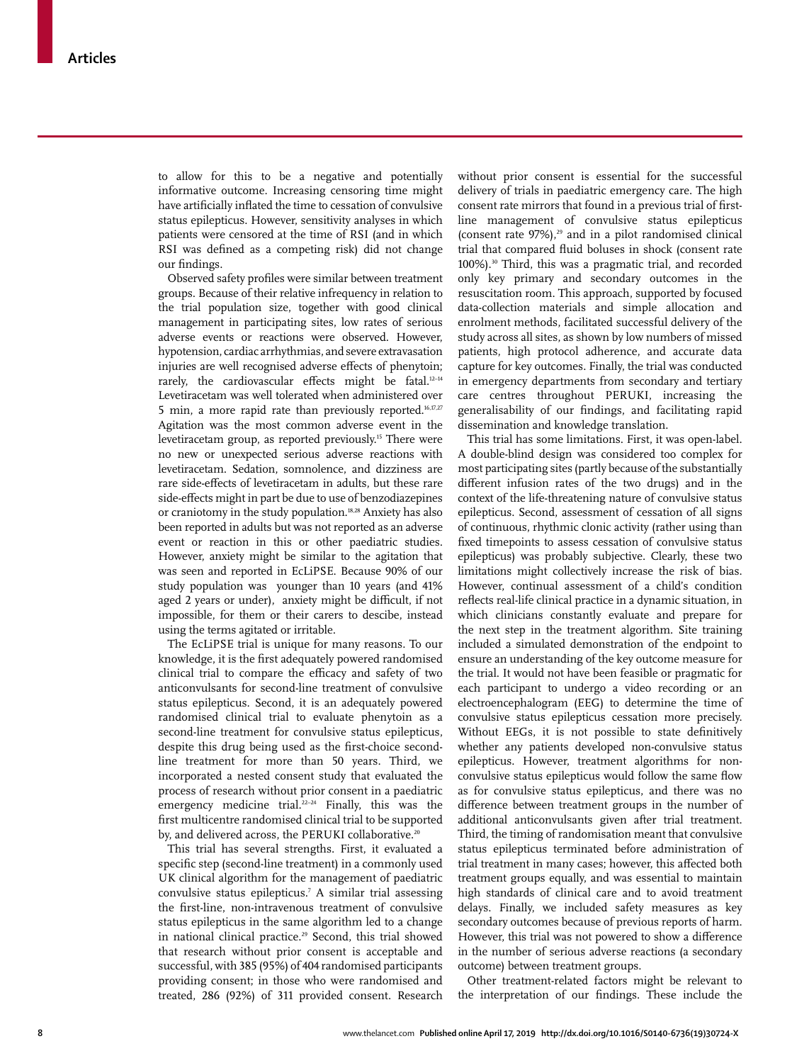to allow for this to be a negative and potentially informative outcome. Increasing censoring time might have artificially inflated the time to cessation of convulsive status epilepticus. However, sensitivity analyses in which patients were censored at the time of RSI (and in which RSI was defined as a competing risk) did not change our findings.

Observed safety profiles were similar between treatment groups. Because of their relative infrequency in relation to the trial population size, together with good clinical management in participating sites, low rates of serious adverse events or reactions were observed. However, hypotension, cardiac arrhythmias, and severe extravasation injuries are well recognised adverse effects of phenytoin; rarely, the cardiovascular effects might be fatal.<sup>12-14</sup> Levetiracetam was well tolerated when administered over 5 min, a more rapid rate than previously reported.16,17,27 Agitation was the most common adverse event in the levetiracetam group, as reported previously.<sup>15</sup> There were no new or unexpected serious adverse reactions with levetiracetam. Sedation, somnolence, and dizziness are rare side-effects of levetiracetam in adults, but these rare side-effects might in part be due to use of benzodiazepines or craniotomy in the study population.18,28 Anxiety has also been reported in adults but was not reported as an adverse event or reaction in this or other paediatric studies. However, anxiety might be similar to the agitation that was seen and reported in EcLiPSE. Because 90% of our study population was younger than 10 years (and 41% aged 2 years or under), anxiety might be difficult, if not impossible, for them or their carers to descibe, instead using the terms agitated or irritable.

The EcLiPSE trial is unique for many reasons. To our knowledge, it is the first adequately powered randomised clinical trial to compare the efficacy and safety of two anticonvulsants for second-line treatment of convulsive status epilepticus. Second, it is an adequately powered randomised clinical trial to evaluate phenytoin as a second-line treatment for convulsive status epilepticus, despite this drug being used as the first-choice secondline treatment for more than 50 years. Third, we incorporated a nested consent study that evaluated the process of research without prior consent in a paediatric emergency medicine trial.<sup>22–24</sup> Finally, this was the first multicentre randomised clinical trial to be supported by, and delivered across, the PERUKI collaborative.<sup>20</sup>

This trial has several strengths. First, it evaluated a specific step (second-line treatment) in a commonly used UK clinical algorithm for the management of paediatric convulsive status epilepticus.7 A similar trial assessing the first-line, non-intravenous treatment of convulsive status epilepticus in the same algorithm led to a change in national clinical practice.<sup>29</sup> Second, this trial showed that research without prior consent is acceptable and successful, with 385 (95%) of 404 randomised participants providing consent; in those who were randomised and treated, 286 (92%) of 311 provided consent. Research

without prior consent is essential for the successful delivery of trials in paediatric emergency care. The high consent rate mirrors that found in a previous trial of firstline management of convulsive status epilepticus (consent rate  $97\%$ ),<sup>29</sup> and in a pilot randomised clinical trial that compared fluid boluses in shock (consent rate 100%).30 Third, this was a pragmatic trial, and recorded only key primary and secondary outcomes in the resuscitation room. This approach, supported by focused data-collection materials and simple allocation and enrolment methods, facilitated successful delivery of the study across all sites, as shown by low numbers of missed patients, high protocol adherence, and accurate data capture for key outcomes. Finally, the trial was conducted in emergency departments from secondary and tertiary care centres throughout PERUKI, increasing the generalisability of our findings, and facilitating rapid dissemination and knowledge translation.

This trial has some limitations. First, it was open-label. A double-blind design was considered too complex for most participating sites (partly because of the substantially different infusion rates of the two drugs) and in the context of the life-threatening nature of convulsive status epilepticus. Second, assessment of cessation of all signs of continuous, rhythmic clonic activity (rather using than fixed timepoints to assess cessation of convulsive status epilepticus) was probably subjective. Clearly, these two limitations might collectively increase the risk of bias. However, continual assessment of a child's condition reflects real-life clinical practice in a dynamic situation, in which clinicians constantly evaluate and prepare for the next step in the treatment algorithm. Site training included a simulated demonstration of the endpoint to ensure an understanding of the key outcome measure for the trial. It would not have been feasible or pragmatic for each participant to undergo a video recording or an electroencephalogram (EEG) to determine the time of convulsive status epilepticus cessation more precisely. Without EEGs, it is not possible to state definitively whether any patients developed non-convulsive status epilepticus. However, treatment algorithms for nonconvulsive status epilepticus would follow the same flow as for convulsive status epilepticus, and there was no difference between treatment groups in the number of additional anticonvulsants given after trial treatment. Third, the timing of randomisation meant that convulsive status epilepticus terminated before administration of trial treatment in many cases; however, this affected both treatment groups equally, and was essential to maintain high standards of clinical care and to avoid treatment delays. Finally, we included safety measures as key secondary outcomes because of previous reports of harm. However, this trial was not powered to show a difference in the number of serious adverse reactions (a secondary outcome) between treatment groups.

Other treatment-related factors might be relevant to the interpretation of our findings. These include the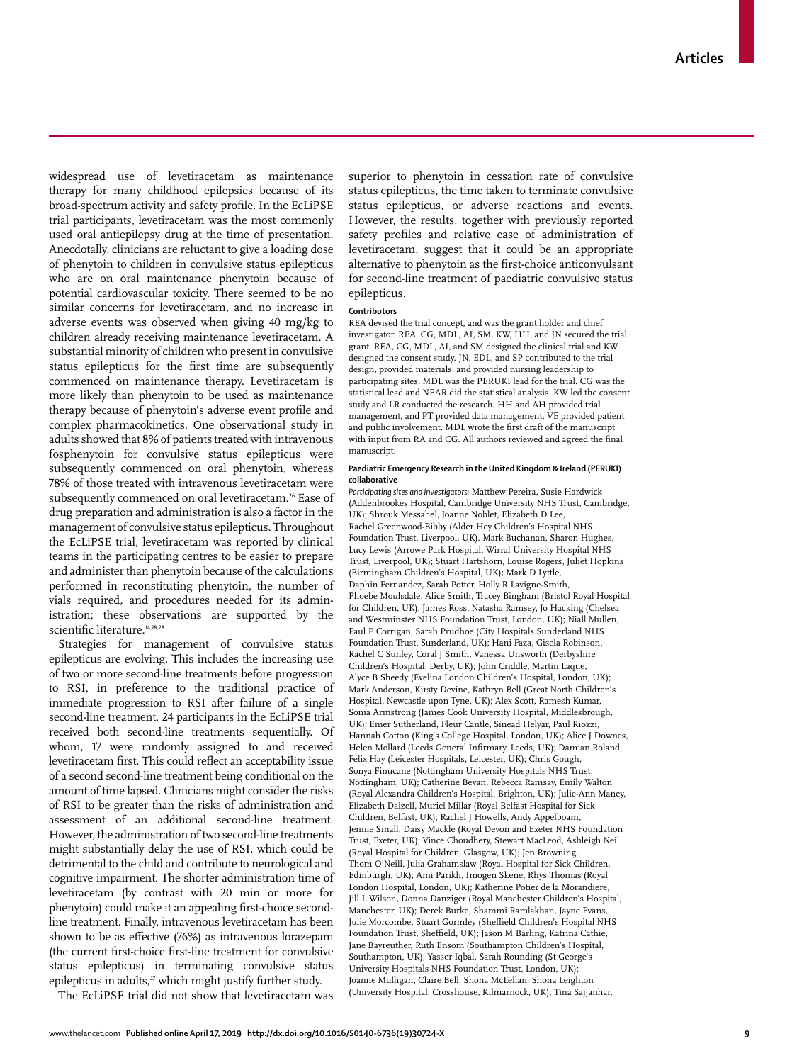widespread use of levetiracetam as maintenance therapy for many childhood epilepsies because of its broad-spectrum activity and safety profile. In the EcLiPSE trial participants, levetiracetam was the most commonly used oral antiepilepsy drug at the time of presentation. Anecdotally, clinicians are reluctant to give a loading dose of phenytoin to children in convulsive status epilepticus who are on oral maintenance phenytoin because of potential cardiovascular toxicity. There seemed to be no similar concerns for levetiracetam, and no increase in adverse events was observed when giving 40 mg/kg to children already receiving maintenance levetiracetam. A substantial minority of children who present in convulsive status epilepticus for the first time are subsequently commenced on maintenance therapy. Levetiracetam is more likely than phenytoin to be used as maintenance therapy because of phenytoin's adverse event profile and complex pharmacokinetics. One observational study in adults showed that 8% of patients treated with intravenous fosphenytoin for convulsive status epilepticus were subsequently commenced on oral phenytoin, whereas 78% of those treated with intravenous levetiracetam were subsequently commenced on oral levetiracetam.<sup>26</sup> Ease of drug preparation and administration is also a factor in the management of convulsive status epilepticus. Throughout the EcLiPSE trial, levetiracetam was reported by clinical teams in the participating centres to be easier to prepare and administer than phenytoin because of the calculations performed in reconstituting phenytoin, the number of vials required, and procedures needed for its administration; these observations are supported by the scientific literature.<sup>14,18,28</sup>

Strategies for management of convulsive status epilepticus are evolving. This includes the increasing use of two or more second-line treatments before progression to RSI, in preference to the traditional practice of immediate progression to RSI after failure of a single second-line treatment. 24 participants in the EcLiPSE trial received both second-line treatments sequentially. Of whom, 17 were randomly assigned to and received levetiracetam first. This could reflect an acceptability issue of a second second-line treatment being conditional on the amount of time lapsed. Clinicians might consider the risks of RSI to be greater than the risks of administration and assessment of an additional second-line treatment. However, the administration of two second-line treatments might substantially delay the use of RSI, which could be detrimental to the child and contribute to neurological and cognitive impairment. The shorter administration time of levetiracetam (by contrast with 20 min or more for phenytoin) could make it an appealing first-choice secondline treatment. Finally, intravenous levetiracetam has been shown to be as effective (76%) as intravenous lorazepam (the current first-choice first-line treatment for convulsive status epilepticus) in terminating convulsive status epilepticus in adults, $z^{\prime\prime}$  which might justify further study.

superior to phenytoin in cessation rate of convulsive status epilepticus, the time taken to terminate convulsive status epilepticus, or adverse reactions and events. However, the results, together with previously reported safety profiles and relative ease of administration of levetiracetam, suggest that it could be an appropriate alternative to phenytoin as the first-choice anticonvulsant for second-line treatment of paediatric convulsive status epilepticus.

### **Contributors**

REA devised the trial concept, and was the grant holder and chief investigator. REA, CG, MDL, AI, SM, KW, HH, and JN secured the trial grant. REA, CG, MDL, AI, and SM designed the clinical trial and KW designed the consent study. JN, EDL, and SP contributed to the trial design, provided materials, and provided nursing leadership to participating sites. MDL was the PERUKI lead for the trial. CG was the statistical lead and NEAR did the statistical analysis. KW led the consent study and LR conducted the research. HH and AH provided trial management, and PT provided data management. VE provided patient and public involvement. MDL wrote the first draft of the manuscript with input from RA and CG. All authors reviewed and agreed the final manuscript.

## **Paediatric Emergency Research in the United Kingdom & Ireland (PERUKI) collaborative**

*Participating sites and investigators:* Matthew Pereira, Susie Hardwick (Addenbrookes Hospital, Cambridge University NHS Trust, Cambridge, UK); Shrouk Messahel, Joanne Noblet, Elizabeth D Lee, Rachel Greenwood-Bibby (Alder Hey Children's Hospital NHS Foundation Trust, Liverpool, UK). Mark Buchanan, Sharon Hughes, Lucy Lewis (Arrowe Park Hospital, Wirral University Hospital NHS Trust, Liverpool, UK); Stuart Hartshorn, Louise Rogers, Juliet Hopkins (Birmingham Children's Hospital, UK); Mark D Lyttle, Daphin Fernandez, Sarah Potter, Holly R Lavigne-Smith, Phoebe Moulsdale, Alice Smith, Tracey Bingham (Bristol Royal Hospital for Children, UK); James Ross, Natasha Ramsey, Jo Hacking (Chelsea and Westminster NHS Foundation Trust, London, UK); Niall Mullen, Paul P Corrigan, Sarah Prudhoe (City Hospitals Sunderland NHS Foundation Trust, Sunderland, UK); Hani Faza, Gisela Robinson, Rachel C Sunley, Coral J Smith, Vanessa Unsworth (Derbyshire Children's Hospital, Derby, UK); John Criddle, Martin Laque, Alyce B Sheedy (Evelina London Children's Hospital, London, UK); Mark Anderson, Kirsty Devine, Kathryn Bell (Great North Children's Hospital, Newcastle upon Tyne, UK); Alex Scott, Ramesh Kumar, Sonia Armstrong (James Cook University Hospital, Middlesbrough, UK); Emer Sutherland, Fleur Cantle, Sinead Helyar, Paul Riozzi, Hannah Cotton (King's College Hospital, London, UK); Alice J Downes, Helen Mollard (Leeds General Infirmary, Leeds, UK); Damian Roland, Felix Hay (Leicester Hospitals, Leicester, UK); Chris Gough, Sonya Finucane (Nottingham University Hospitals NHS Trust, Nottingham, UK); Catherine Bevan, Rebecca Ramsay, Emily Walton (Royal Alexandra Children's Hospital, Brighton, UK); Julie-Ann Maney, Elizabeth Dalzell, Muriel Millar (Royal Belfast Hospital for Sick Children, Belfast, UK); Rachel J Howells, Andy Appelboam, Jennie Small, Daisy Mackle (Royal Devon and Exeter NHS Foundation Trust, Exeter, UK); Vince Choudhery, Stewart MacLeod, Ashleigh Neil (Royal Hospital for Children, Glasgow, UK); Jen Browning, Thom O'Neill, Julia Grahamslaw (Royal Hospital for Sick Children, Edinburgh, UK); Ami Parikh, Imogen Skene, Rhys Thomas (Royal London Hospital, London, UK); Katherine Potier de la Morandiere, Jill L Wilson, Donna Danziger (Royal Manchester Children's Hospital, Manchester, UK); Derek Burke, Shammi Ramlakhan, Jayne Evans, Julie Morcombe, Stuart Gormley (Sheffield Children's Hospital NHS Foundation Trust, Sheffield, UK); Jason M Barling, Katrina Cathie, Jane Bayreuther, Ruth Ensom (Southampton Children's Hospital, Southampton, UK); Yasser Iqbal, Sarah Rounding (St George's University Hospitals NHS Foundation Trust, London, UK); Joanne Mulligan, Claire Bell, Shona McLellan, Shona Leighton (University Hospital, Crosshouse, Kilmarnock, UK); Tina Sajjanhar,

The EcLiPSE trial did not show that levetiracetam was